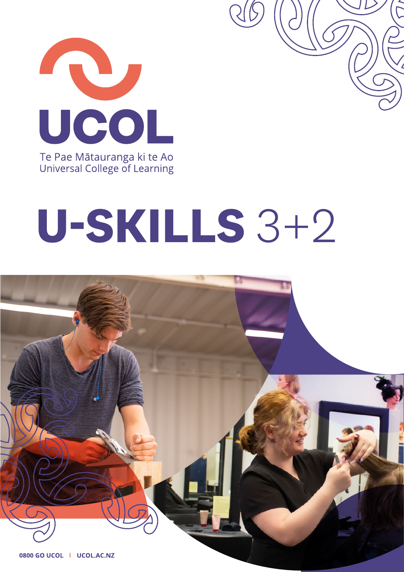

## U-SKILLS 3+2